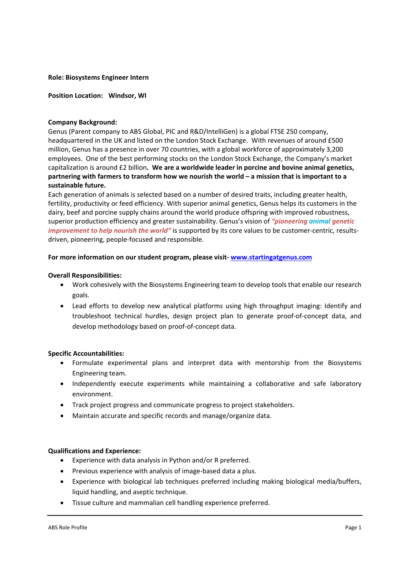### **Role: Biosystems Engineer Intern**

**Position Location: Windsor, WI** 

### **Company Background:**

Genus (Parent company to ABS Global, PIC and R&D/IntelliGen) is a global FTSE 250 company, headquartered in the UK and listed on the London Stock Exchange. With revenues of around £500 million, Genus has a presence in over 70 countries, with a global workforce of approximately 3,200 employees. One of the best performing stocks on the London Stock Exchange, the Company's market capitalization is around £2 billion**. We are a worldwide leader in porcine and bovine animal genetics, partnering with farmers to transform how we nourish the world – a mission that is important to a sustainable future.** 

Each generation of animals is selected based on a number of desired traits, including greater health, fertility, productivity or feed efficiency. With superior animal genetics, Genus helps its customers in the dairy, beef and porcine supply chains around the world produce offspring with improved robustness, superior production efficiency and greater sustainability. Genus's vision of *"pioneering animal genetic improvement to help nourish the world"* is supported by its core values to be customer-centric, resultsdriven, pioneering, people‐focused and responsible.

# **For more information on our student program, please visit‐ www.startingatgenus.com**

# **Overall Responsibilities:**

- Work cohesively with the Biosystems Engineering team to develop tools that enable our research goals.
- Lead efforts to develop new analytical platforms using high throughput imaging: Identify and troubleshoot technical hurdles, design project plan to generate proof-of-concept data, and develop methodology based on proof‐of‐concept data.

# **Specific Accountabilities:**

- Formulate experimental plans and interpret data with mentorship from the Biosystems Engineering team.
- Independently execute experiments while maintaining a collaborative and safe laboratory environment.
- Track project progress and communicate progress to project stakeholders.
- Maintain accurate and specific records and manage/organize data.

# **Qualifications and Experience:**

- Experience with data analysis in Python and/or R preferred.
- Previous experience with analysis of image-based data a plus.
- Experience with biological lab techniques preferred including making biological media/buffers, liquid handling, and aseptic technique.
- Tissue culture and mammalian cell handling experience preferred.